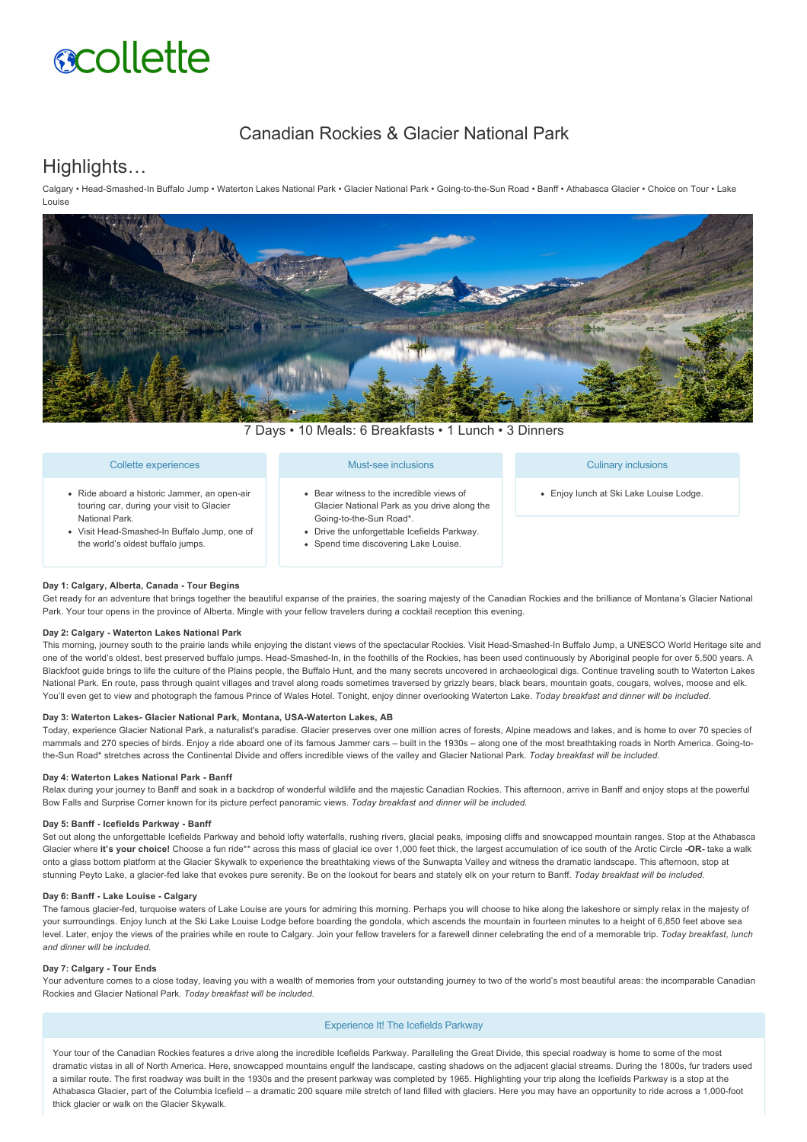# **scollette**

# Canadian Rockies & Glacier National Park

# Highlights…

Calgary • Head-Smashed-In Buffalo Jump • Waterton Lakes National Park • Glacier National Park • Going-to-the-Sun Road • Banff • Athabasca Glacier • Choice on Tour • Lake Louise



7 Days • 10 Meals: 6 Breakfasts • 1 Lunch • 3 Dinners

| Collette experiences                                                                                                                                                                             | Must-see inclusions                                                                                                                                                                                           | <b>Culinary inclusions</b>              |
|--------------------------------------------------------------------------------------------------------------------------------------------------------------------------------------------------|---------------------------------------------------------------------------------------------------------------------------------------------------------------------------------------------------------------|-----------------------------------------|
| · Ride aboard a historic Jammer, an open-air<br>touring car, during your visit to Glacier<br>National Park.<br>• Visit Head-Smashed-In Buffalo Jump, one of<br>the world's oldest buffalo jumps. | • Bear witness to the incredible views of<br>Glacier National Park as you drive along the<br>Going-to-the-Sun Road*.<br>• Drive the unforgettable Icefields Parkway.<br>• Spend time discovering Lake Louise. | • Enjoy lunch at Ski Lake Louise Lodge. |

#### **Day 1: Calgary, Alberta, Canada Tour Begins**

Get ready for an adventure that brings together the beautiful expanse of the prairies, the soaring majesty of the Canadian Rockies and the brilliance of Montana's Glacier National Park. Your tour opens in the province of Alberta. Mingle with your fellow travelers during a cocktail reception this evening.

#### **Day 2: Calgary Waterton Lakes National Park**

This morning, journey south to the prairie lands while enjoying the distant views of the spectacular Rockies. Visit Head-Smashed-In Buffalo Jump, a UNESCO World Heritage site and one of the world's oldest, best preserved buffalo jumps. Head-Smashed-In, in the foothills of the Rockies, has been used continuously by Aboriginal people for over 5,500 years. A Blackfoot quide brings to life the culture of the Plains people, the Buffalo Hunt, and the many secrets uncovered in archaeological digs. Continue traveling south to Waterton Lakes National Park. En route, pass through quaint villages and travel along roads sometimes traversed by grizzly bears, black bears, mountain goats, cougars, wolves, moose and elk. You'll even get to view and photograph the famous Prince of Wales Hotel. Tonight, enjoy dinner overlooking Waterton Lake. *Today breakfast and dinner will be included.*

#### Day 3: Waterton Lakes- Glacier National Park, Montana, USA-Waterton Lakes, AB

Today, experience Glacier National Park, a naturalist's paradise. Glacier preserves over one million acres of forests, Alpine meadows and lakes, and is home to over 70 species of mammals and 270 species of birds. Enjoy a ride aboard one of its famous Jammer cars – built in the 1930s – along one of the most breathtaking roads in North America. Going-tothe-Sun Road\* stretches across the Continental Divide and offers incredible views of the valley and Glacier National Park. Today breakfast will be included.

## **Day 4: Waterton Lakes National Park - Banff**

Relax during your journey to Banff and soak in a backdrop of wonderful wildlife and the majestic Canadian Rockies. This afternoon, arrive in Banff and enjoy stops at the powerful Bow Falls and Surprise Corner known for its picture perfect panoramic views. *Today breakfast and dinner will be included.*

## Day 5: Banff - Icefields Parkway - Banff

Set out along the unforgettable Icefields Parkway and behold lofty waterfalls, rushing rivers, glacial peaks, imposing cliffs and snowcapped mountain ranges. Stop at the Athabasca Glacier where it's your choice! Choose a fun ride\*\* across this mass of glacial ice over 1,000 feet thick, the largest accumulation of ice south of the Arctic Circle -OR- take a walk onto a glass bottom platform at the Glacier Skywalk to experience the breathtaking views of the Sunwapta Valley and witness the dramatic landscape. This afternoon, stop at stunning Peyto Lake, a glacier-fed lake that evokes pure serenity. Be on the lookout for bears and stately elk on your return to Banff. Today breakfast will be included.

## **Day 6: Banff Lake Louise Calgary**

The famous glacier-fed, turquoise waters of Lake Louise are yours for admiring this morning. Perhaps you will choose to hike along the lakeshore or simply relax in the majesty of your surroundings. Enjoy lunch at the Ski Lake Louise Lodge before boarding the gondola, which ascends the mountain in fourteen minutes to a height of 6,850 feet above sea level. Later, enjoy the views of the prairies while en route to Calgary. Join your fellow travelers for a farewell dinner celebrating the end of a memorable trip. *Today breakfast, lunch and dinner will be included.*

#### Day 7: Calgary - Tour Ends

Your adventure comes to a close today, leaving you with a wealth of memories from your outstanding journey to two of the world's most beautiful areas: the incomparable Canadian Rockies and Glacier National Park. *Today breakfast will be included.*

## Experience It! The Icefields Parkway

Your tour of the Canadian Rockies features a drive along the incredible Icefields Parkway. Paralleling the Great Divide, this special roadway is home to some of the most dramatic vistas in all of North America. Here, snowcapped mountains engulf the landscape, casting shadows on the adjacent glacial streams. During the 1800s, fur traders used a similar route. The first roadway was built in the 1930s and the present parkway was completed by 1965. Highlighting your trip along the Icefields Parkway is a stop at the Athabasca Glacier, part of the Columbia Icefield – a dramatic 200 square mile stretch of land filled with glaciers. Here you may have an opportunity to ride across a 1,000foot thick glacier or walk on the Glacier Skywalk.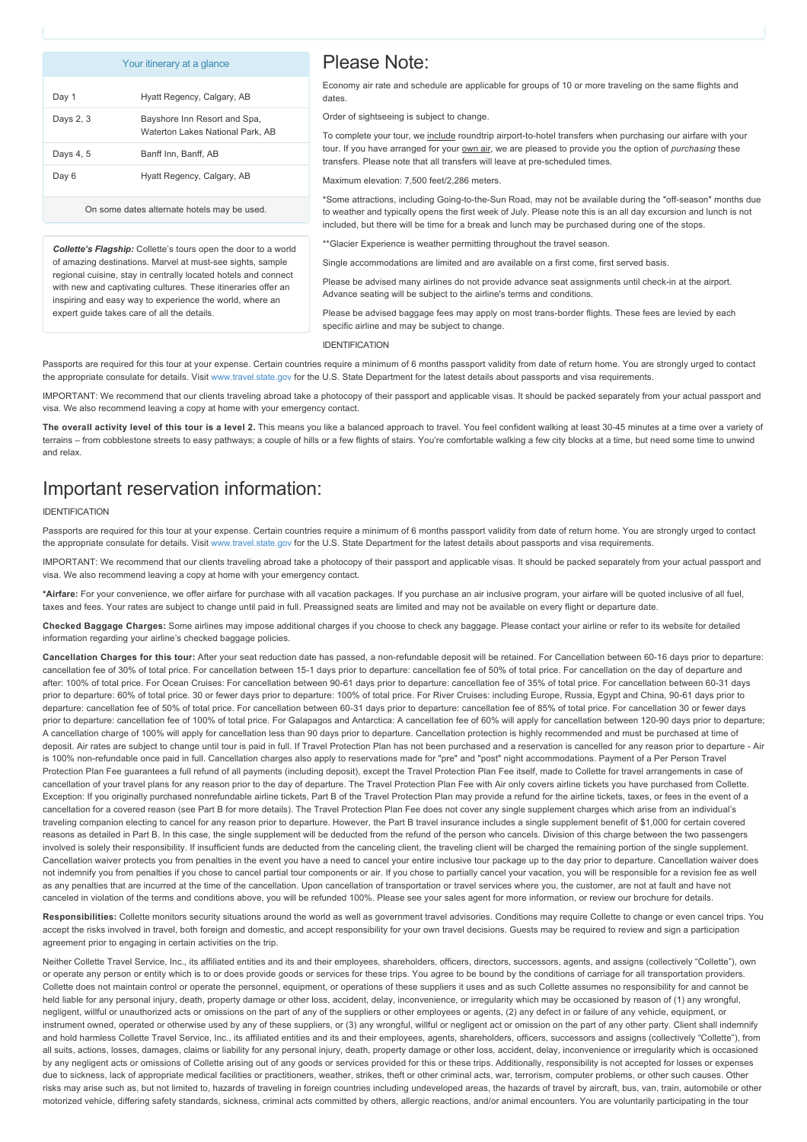#### Your itinerary at a glance

| Please Note: |  |
|--------------|--|
|--------------|--|

| Day 1     | Hyatt Regency, Calgary, AB                                       |
|-----------|------------------------------------------------------------------|
| Days 2, 3 | Bayshore Inn Resort and Spa,<br>Waterton Lakes National Park, AB |
| Days 4, 5 | Banff Inn, Banff, AB                                             |
| Day 6     | Hyatt Regency, Calgary, AB                                       |

On some dates alternate hotels may be used.

*Collette's Flagship:* Collette's tours open the door to a world of amazing destinations. Marvel at must-see sights, sample regional cuisine, stay in centrally located hotels and connect with new and captivating cultures. These itineraries offer an inspiring and easy way to experience the world, where an expert guide takes care of all the details.

Economy air rate and schedule are applicable for groups of 10 or more traveling on the same flights and dates

Order of sightseeing is subject to change.

To complete your tour, we include roundtrip airport-to-hotel transfers when purchasing our airfare with your tour. If you have arranged for your own air, we are pleased to provide you the option of *purchasing* these transfers. Please note that all transfers will leave at pre-scheduled times.

Maximum elevation: 7,500 feet/2,286 meters.

\*Some attractions, including Going-to-the-Sun Road, may not be available during the "off-season" months due to weather and typically opens the first week of July. Please note this is an all day excursion and lunch is not included, but there will be time for a break and lunch may be purchased during one of the stops.

<sup>\*</sup>Glacier Experience is weather permitting throughout the travel season.

Single accommodations are limited and are available on a first come, first served basis.

Please be advised many airlines do not provide advance seat assignments until check-in at the airport. Advance seating will be subject to the airline's terms and conditions.

Please be advised baggage fees may apply on most trans-border flights. These fees are levied by each specific airline and may be subject to change.

IDENTIFICATION

Passports are required for this tour at your expense. Certain countries require a minimum of 6 months passport validity from date of return home. You are strongly urged to contact the appropriate consulate for details. Visit [www.travel.state.gov](https://itinerary.collette.com/Documents/Flyer/13862/USD/www.travel.state.gov) for the U.S. State Department for the latest details about passports and visa requirements.

IMPORTANT: We recommend that our clients traveling abroad take a photocopy of their passport and applicable visas. It should be packed separately from your actual passport and visa. We also recommend leaving a copy at home with your emergency contact.

The overall activity level of this tour is a level 2. This means you like a balanced approach to travel. You feel confident walking at least 30-45 minutes at a time over a variety of terrains – from cobblestone streets to easy pathways; a couple of hills or a few flights of stairs. You're comfortable walking a few city blocks at a time, but need some time to unwind and relax.

# Important reservation information:

#### IDENTIFICATION

Passports are required for this tour at your expense. Certain countries require a minimum of 6 months passport validity from date of return home. You are strongly urged to contact the appropriate consulate for details. Visit [www.travel.state.gov](https://itinerary.collette.com/Documents/Flyer/13862/USD/www.travel.state.gov) for the U.S. State Department for the latest details about passports and visa requirements.

IMPORTANT: We recommend that our clients traveling abroad take a photocopy of their passport and applicable visas. It should be packed separately from your actual passport and visa. We also recommend leaving a copy at home with your emergency contact.

**\*Airfare:** For your convenience, we offer airfare for purchase with all vacation packages. If you purchase an air inclusive program, your airfare will be quoted inclusive of all fuel, taxes and fees. Your rates are subject to change until paid in full. Preassigned seats are limited and may not be available on every flight or departure date

**Checked Baggage Charges:** Some airlines may impose additional charges if you choose to check any baggage. Please contact your airline or refer to its website for detailed information regarding your airline's checked baggage policies.

**Cancellation Charges for this tour:** After your seat reduction date has passed, a nonrefundable deposit will be retained. For Cancellation between 6016 days prior to departure: cancellation fee of 30% of total price. For cancellation between 15-1 days prior to departure: cancellation fee of 50% of total price. For cancellation on the day of departure and after: 100% of total price. For Ocean Cruises: For cancellation between 9061 days prior to departure: cancellation fee of 35% of total price. For cancellation between 6031 days prior to departure: 60% of total price. 30 or fewer days prior to departure: 100% of total price. For River Cruises: including Europe, Russia, Egypt and China, 90-61 days prior to departure: cancellation fee of 50% of total price. For cancellation between 6031 days prior to departure: cancellation fee of 85% of total price. For cancellation 30 or fewer days prior to departure: cancellation fee of 100% of total price. For Galapagos and Antarctica: A cancellation fee of 60% will apply for cancellation between 120-90 days prior to departure; A cancellation charge of 100% will apply for cancellation less than 90 days prior to departure. Cancellation protection is highly recommended and must be purchased at time of deposit. Air rates are subject to change until tour is paid in full. If Travel Protection Plan has not been purchased and a reservation is cancelled for any reason prior to departure - Air is 100% non-refundable once paid in full. Cancellation charges also apply to reservations made for "pre" and "post" night accommodations. Payment of a Per Person Travel Protection Plan Fee guarantees a full refund of all payments (including deposit), except the Travel Protection Plan Fee itself, made to Collette for travel arrangements in case of cancellation of your travel plans for any reason prior to the day of departure. The Travel Protection Plan Fee with Air only covers airline tickets you have purchased from Collette. Exception: If you originally purchased nonrefundable airline tickets. Part B of the Travel Protection Plan may provide a refund for the airline tickets, taxes, or fees in the event of a cancellation for a covered reason (see Part B for more details). The Travel Protection Plan Fee does not cover any single supplement charges which arise from an individual's traveling companion electing to cancel for any reason prior to departure. However, the Part B travel insurance includes a single supplement benefit of \$1,000 for certain covered reasons as detailed in Part B. In this case, the single supplement will be deducted from the refund of the person who cancels. Division of this charge between the two passengers involved is solely their responsibility. If insufficient funds are deducted from the canceling client, the traveling client will be charged the remaining portion of the single supplement. Cancellation waiver protects you from penalties in the event you have a need to cancel your entire inclusive tour package up to the day prior to departure. Cancellation waiver does not indemnify you from penalties if you chose to cancel partial tour components or air. If you chose to partially cancel your vacation, you will be responsible for a revision fee as well as any penalties that are incurred at the time of the cancellation. Upon cancellation of transportation or travel services where you, the customer, are not at fault and have not canceled in violation of the terms and conditions above, you will be refunded 100%. Please see your sales agent for more information, or review our brochure for details

Responsibilities: Collette monitors security situations around the world as well as government travel advisories. Conditions may require Collette to change or even cancel trips. You accept the risks involved in travel, both foreign and domestic, and accept responsibility for your own travel decisions. Guests may be required to review and sign a participation agreement prior to engaging in certain activities on the trip.

Neither Collette Travel Service, Inc., its affiliated entities and its and their employees, shareholders, officers, directors, successors, agents, and assigns (collectively "Collette"), own or operate any person or entity which is to or does provide goods or services for these trips. You agree to be bound by the conditions of carriage for all transportation providers. Collette does not maintain control or operate the personnel, equipment, or operations of these suppliers it uses and as such Collette assumes no responsibility for and cannot be held liable for any personal injury, death, property damage or other loss, accident, delay, inconvenience, or irregularity which may be occasioned by reason of (1) any wrongful, negligent, willful or unauthorized acts or omissions on the part of any of the suppliers or other employees or agents, (2) any defect in or failure of any vehicle, equipment, or instrument owned, operated or otherwise used by any of these suppliers, or (3) any wrongful, willful or negligent act or omission on the part of any other party. Client shall indemnify and hold harmless Collette Travel Service, Inc., its affiliated entities and its and their employees, agents, shareholders, officers, successors and assigns (collectively "Collette"), from all suits, actions, losses, damages, claims or liability for any personal injury, death, property damage or other loss, accident, delay, inconvenience or irregularity which is occasioned by any negligent acts or omissions of Collette arising out of any goods or services provided for this or these trips. Additionally, responsibility is not accepted for losses or expenses due to sickness, lack of appropriate medical facilities or practitioners, weather, strikes, theft or other criminal acts, war, terrorism, computer problems, or other such causes. Other risks may arise such as, but not limited to, hazards of traveling in foreign countries including undeveloped areas, the hazards of travel by aircraft, bus, van, train, automobile or other motorized vehicle, differing safety standards, sickness, criminal acts committed by others, allergic reactions, and/or animal encounters. You are voluntarily participating in the tour